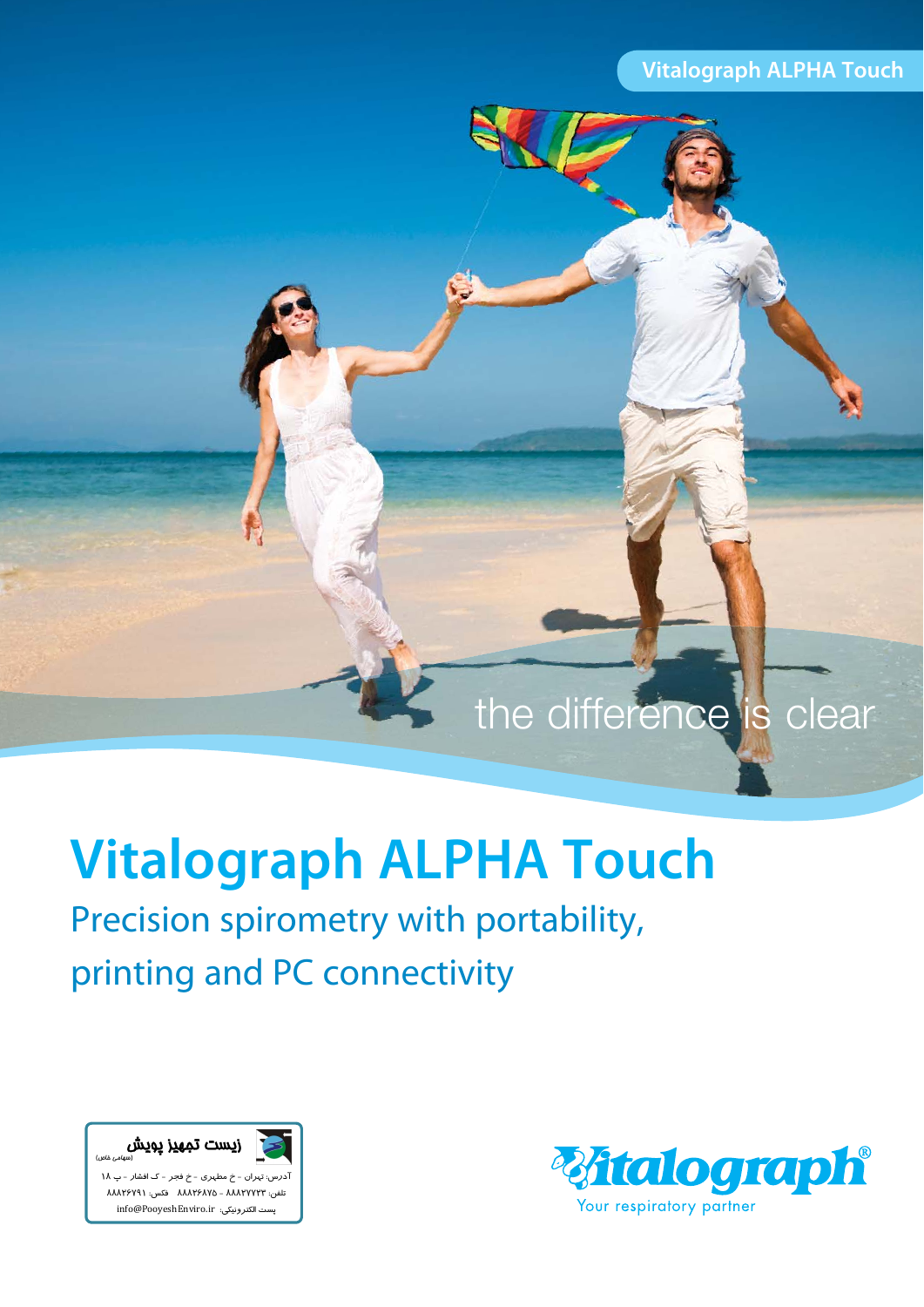# the difference is clear

# **Vitalograph ALPHA Touch**

## Precision spirometry with portability, printing and PC connectivity



I زيست تجهيز پويش (سهامي خاص ) آدرس: تهران - خ مطهري - خ فجر - ك افشار - پ 3 تلفن: 88827723 - 88826875 فكس: 88826791 info@PooyeshEnviro.ir :الكترونيكي پست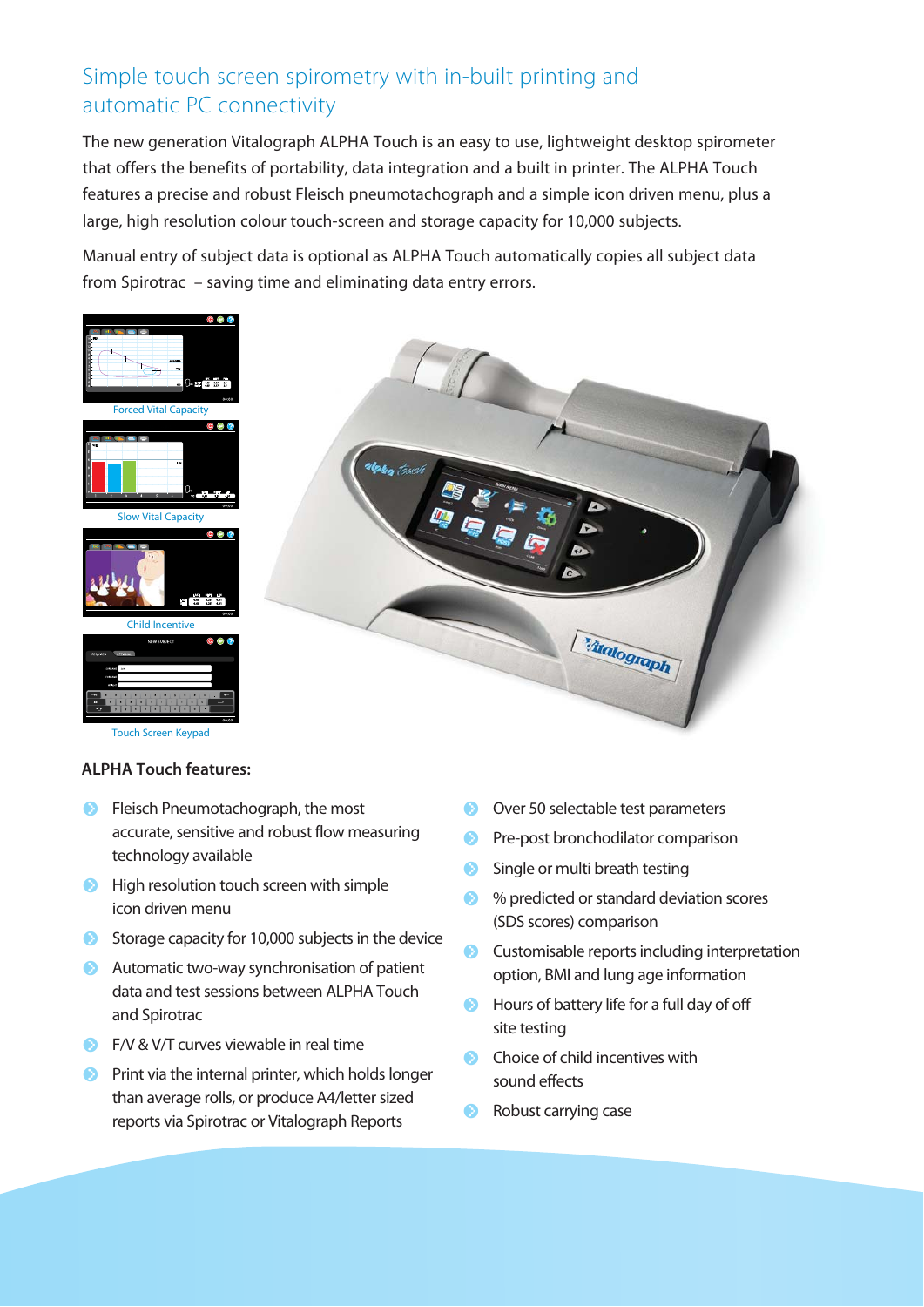### Simple touch screen spirometry with in-built printing and automatic PC connectivity

The new generation Vitalograph ALPHA Touch is an easy to use, lightweight desktop spirometer that offers the benefits of portability, data integration and a built in printer. The ALPHA Touch features a precise and robust Fleisch pneumotachograph and a simple icon driven menu, plus a large, high resolution colour touch-screen and storage capacity for 10,000 subjects.

Manual entry of subject data is optional as ALPHA Touch automatically copies all subject data from Spirotrac – saving time and eliminating data entry errors.



\*\* Italograph

#### **ALPHA Touch features:**

- **•** Fleisch Pneumotachograph, the most accurate, sensitive and robust flow measuring technology available
- **High resolution touch screen with simple** icon driven menu
- Storage capacity for 10,000 subjects in the device
- **Automatic two-way synchronisation of patient** data and test sessions between ALPHA Touch and Spirotrac
- **C** F/V & V/T curves viewable in real time
- **Print via the internal printer, which holds longer** than average rolls, or produce A4/letter sized reports via Spirotrac or Vitalograph Reports
- Over 50 selectable test parameters
- **Pre-post bronchodilator comparison**
- Single or multi breath testing
- $\bullet$  % predicted or standard deviation scores (SDS scores) comparison
- **Customisable reports including interpretation** option, BMI and lung age information
- Hours of battery life for a full day of off site testing
- **Choice of child incentives with** sound effects
- **B** Robust carrying case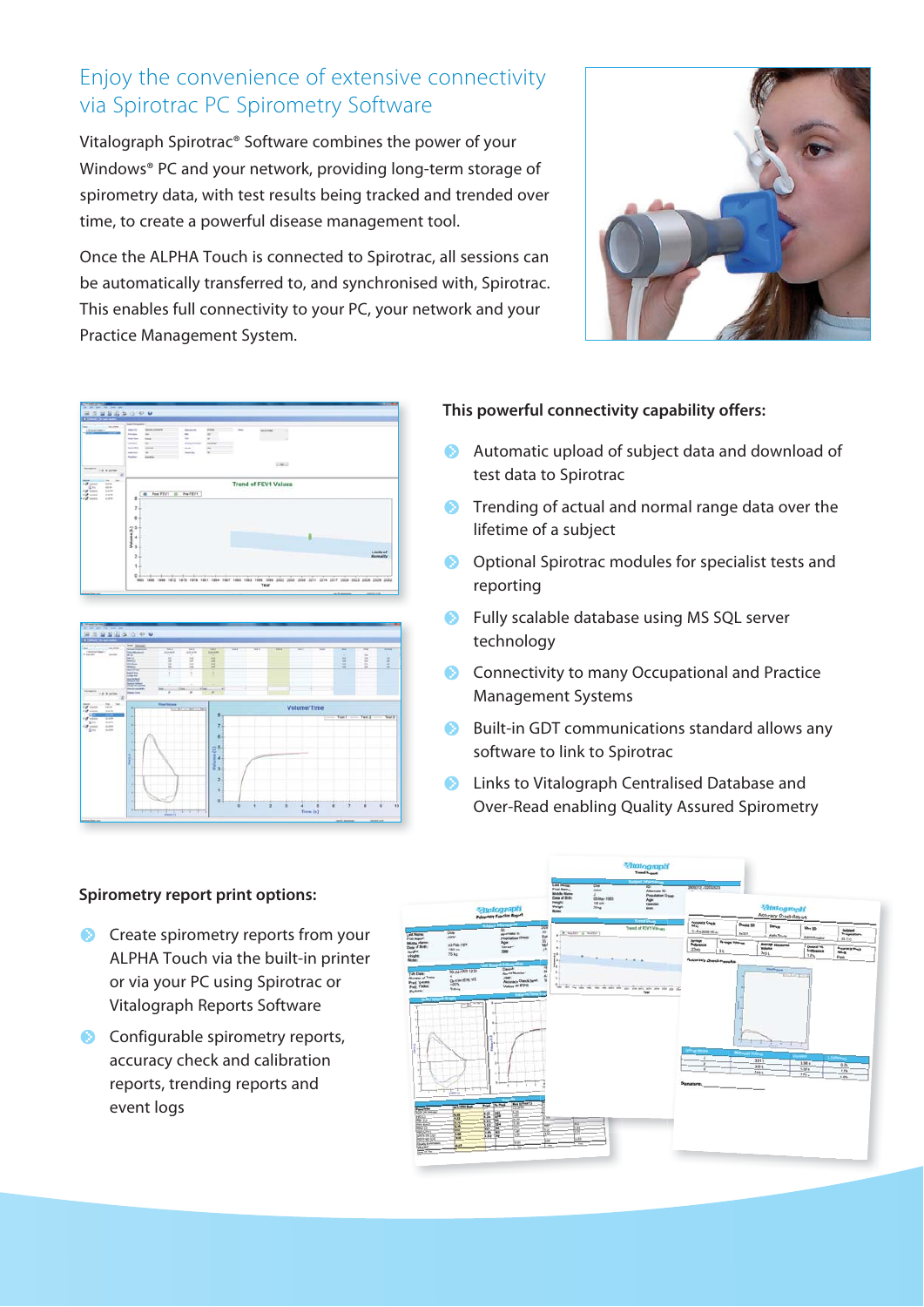### Enjoy the convenience of extensive connectivity via Spirotrac PC Spirometry Software

Vitalograph Spirotrac® Software combines the power of your Windows® PC and your network, providing long-term storage of spirometry data, with test results being tracked and trended over time, to create a powerful disease management tool.

Once the ALPHA Touch is connected to Spirotrac, all sessions can be automatically transferred to, and synchronised with, Spirotrac. This enables full connectivity to your PC, your network and your Practice Management System.







#### **This powerful connectivity capability offers:**

- **Automatic upload of subject data and download of** test data to Spirotrac
- **C** Trending of actual and normal range data over the lifetime of a subject
- **Optional Spirotrac modules for specialist tests and** reporting
- **•** Fully scalable database using MS SQL server technology
- Connectivity to many Occupational and Practice Management Systems
- **Built-in GDT communications standard allows any** software to link to Spirotrac
- **B** Links to Vitalograph Centralised Database and Over-Read enabling Quality Assured Spirometry

#### **Spirometry report print options:**

- **C** Create spirometry reports from your ALPHA Touch via the built-in printer or via your PC using Spirotrac or Vitalograph Reports Software
- **Configurable spirometry reports,** accuracy check and calibration reports, trending reports and event logs